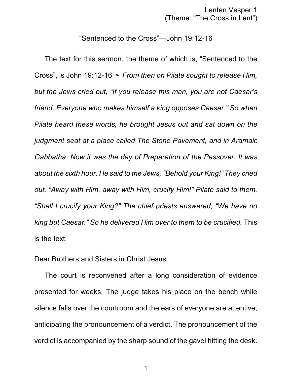Lenten Vesper 1 (Theme: "The Cross in Lent")

## "Sentenced to the Cross"—John 19:12-16

The text for this sermon, the theme of which is, "Sentenced to the Cross", is John 19:12-16 ý *From then on Pilate sought to release Him, but the Jews cried out, "If you release this man, you are not Caesar's friend. Everyone who makes himself a king opposes Caesar." So when Pilate heard these words, he brought Jesus out and sat down on the judgment seat at a place called The Stone Pavement, and in Aramaic Gabbatha. Now it was the day of Preparation of the Passover. It was about the sixth hour. He said to the Jews, "Behold your King!" They cried out, "Away with Him, away with Him, crucify Him!" Pilate said to them, "Shall I crucify your King?" The chief priests answered, "We have no king but Caesar." So he delivered Him over to them to be crucified.* This is the text.

Dear Brothers and Sisters in Christ Jesus:

The court is reconvened after a long consideration of evidence presented for weeks. The judge takes his place on the bench while silence falls over the courtroom and the ears of everyone are attentive, anticipating the pronouncement of a verdict. The pronouncement of the verdict is accompanied by the sharp sound of the gavel hitting the desk.

1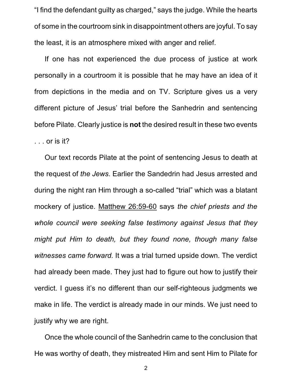"I find the defendant guilty as charged," says the judge. While the hearts of some in the courtroom sink in disappointment others are joyful. To say the least, it is an atmosphere mixed with anger and relief.

If one has not experienced the due process of justice at work personally in a courtroom it is possible that he may have an idea of it from depictions in the media and on TV. Scripture gives us a very different picture of Jesus' trial before the Sanhedrin and sentencing before Pilate. Clearly justice is **not** the desired result in these two events . . . or is it?

Our text records Pilate at the point of sentencing Jesus to death at the request of *the Jews*. Earlier the Sandedrin had Jesus arrested and during the night ran Him through a so-called "trial" which was a blatant mockery of justice. Matthew 26:59-60 says *the chief priests and the whole council were seeking false testimony against Jesus that they might put Him to death, but they found none, though many false witnesses came forward.* It was a trial turned upside down. The verdict had already been made. They just had to figure out how to justify their verdict. I guess it's no different than our self-righteous judgments we make in life. The verdict is already made in our minds. We just need to justify why we are right.

Once the whole council of the Sanhedrin came to the conclusion that He was worthy of death, they mistreated Him and sent Him to Pilate for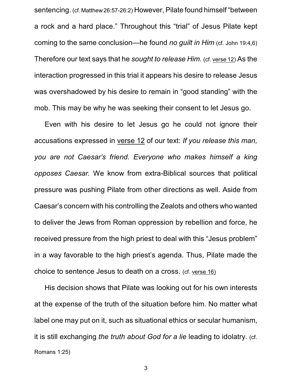sentencing. (cf. Matthew26:57-26:2) However, Pilate found himself "between a rock and a hard place." Throughout this "trial" of Jesus Pilate kept coming to the same conclusion—he found *no guilt in Him* (cf. John 19:4,6) Therefore our text says that he *sought to release Him*. (cf. verse 12) As the interaction progressed in this trial it appears his desire to release Jesus was overshadowed by his desire to remain in "good standing" with the mob. This may be why he was seeking their consent to let Jesus go.

Even with his desire to let Jesus go he could not ignore their accusations expressed in verse 12 of our text: *If you release this man, you are not Caesar's friend. Everyone who makes himself a king opposes Caesar.* We know from extra-Biblical sources that political pressure was pushing Pilate from other directions as well. Aside from Caesar's concern with his controlling the Zealots and others who wanted to deliver the Jews from Roman oppression by rebellion and force, he received pressure from the high priest to deal with this "Jesus problem" in a way favorable to the high priest's agenda. Thus, Pilate made the choice to sentence Jesus to death on a cross. (cf. verse 16)

His decision shows that Pilate was looking out for his own interests at the expense of the truth of the situation before him. No matter what label one may put on it, such as situational ethics or secular humanism, it is still exchanging *the truth about God for a lie* leading to idolatry. (cf. Romans 1:25)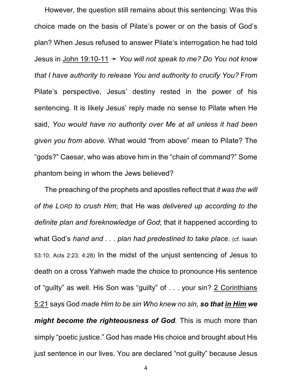However, the question still remains about this sentencing: Was this choice made on the basis of Pilate's power or on the basis of God's plan? When Jesus refused to answer Pilate's interrogation he had told Jesus in John 19:10-11 ý *You will not speak to me? Do You not know that I have authority to release You and authority to crucify You?* From Pilate's perspective, Jesus' destiny rested in the power of his sentencing. It is likely Jesus' reply made no sense to Pilate when He said, *You would have no authority over Me at all unless it had been given you from above.* What would "from above" mean to Pilate? The "gods?" Caesar, who was above him in the "chain of command?" Some phantom being in whom the Jews believed?

The preaching of the prophets and apostles reflect that *it was the will of the LORD to crush Him*; that He was *delivered up according to the definite plan and foreknowledge of God*; that it happened according to what God's *hand and . . . plan had predestined to take place*. (cf. Isaiah 53:10; Acts 2:23; 4:28) In the midst of the unjust sentencing of Jesus to death on a cross Yahweh made the choice to pronounce His sentence of "guilty" as well. His Son was "guilty" of . . . your sin? 2 Corinthians 5:21 says God *made Him to be sin Who knew no sin, so that in Him we might become the righteousness of God*. This is much more than simply "poetic justice." God has made His choice and brought about His just sentence in our lives. You are declared "not guilty" because Jesus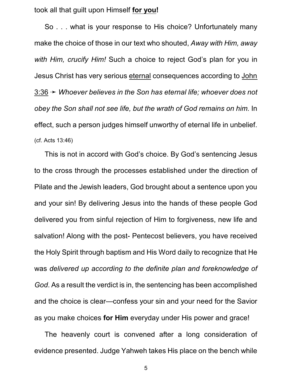took all that guilt upon Himself **for you!**

So . . . what is your response to His choice? Unfortunately many make the choice of those in our text who shouted, *Away with Him, away with Him, crucify Him!* Such a choice to reject God's plan for you in Jesus Christ has very serious eternal consequences according to John 3:36 ý *Whoever believes in the Son has eternal life; whoever does not obey the Son shall not see life, but the wrath of God remains on him.* In effect, such a person judges himself unworthy of eternal life in unbelief. (cf. Acts 13:46)

This is not in accord with God's choice. By God's sentencing Jesus to the cross through the processes established under the direction of Pilate and the Jewish leaders, God brought about a sentence upon you and your sin! By delivering Jesus into the hands of these people God delivered you from sinful rejection of Him to forgiveness, new life and salvation! Along with the post- Pentecost believers, you have received the Holy Spirit through baptism and His Word daily to recognize that He was *delivered up according to the definite plan and foreknowledge of God*. As a result the verdict is in, the sentencing has been accomplished and the choice is clear—confess your sin and your need for the Savior as you make choices **for Him** everyday under His power and grace!

The heavenly court is convened after a long consideration of evidence presented. Judge Yahweh takes His place on the bench while

5